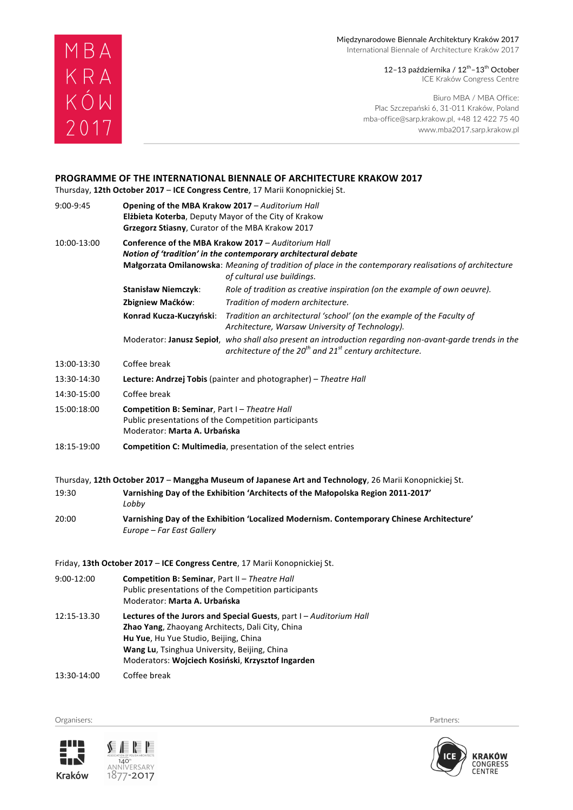#### Międzynarodowe Biennale Architektury Kraków 2017 International Biennale of Architecture Kraków 2017

12–13 października /  $12<sup>th</sup>$ –13 $<sup>th</sup>$  October</sup> ICE Kraków Congress Centre

Biuro MBA / MBA Office: Plac Szczepański 6, 31-011 Kraków, Poland mba-office@sarp.krakow.pl, +48 12 422 75 40 www.mba2017.sarp.krakow.pl

# **PROGRAMME OF THE INTERNATIONAL BIENNALE OF ARCHITECTURE KRAKOW 2017**

Thursday, 12th October 2017 - ICE Congress Centre, 17 Marii Konopnickiej St.

MBA<br>KRA<br>KÓW

2017

| 9:00-9:45   | Opening of the MBA Krakow 2017 - Auditorium Hall<br><b>Elżbieta Koterba, Deputy Mayor of the City of Krakow</b><br>Grzegorz Stiasny, Curator of the MBA Krakow 2017                                                                                                 |                                                                                                                                                                                                                                                               |
|-------------|---------------------------------------------------------------------------------------------------------------------------------------------------------------------------------------------------------------------------------------------------------------------|---------------------------------------------------------------------------------------------------------------------------------------------------------------------------------------------------------------------------------------------------------------|
| 10:00-13:00 |                                                                                                                                                                                                                                                                     | Conference of the MBA Krakow 2017 - Auditorium Hall<br>Notion of 'tradition' in the contemporary architectural debate<br>Małgorzata Omilanowska: Meaning of tradition of place in the contemporary realisations of architecture<br>of cultural use buildings. |
|             | <b>Stanisław Niemczyk:</b>                                                                                                                                                                                                                                          | Role of tradition as creative inspiration (on the example of own oeuvre).                                                                                                                                                                                     |
|             | Zbigniew Maćków:                                                                                                                                                                                                                                                    | Tradition of modern architecture.                                                                                                                                                                                                                             |
|             | Konrad Kucza-Kuczyński:                                                                                                                                                                                                                                             | Tradition an architectural 'school' (on the example of the Faculty of<br>Architecture, Warsaw University of Technology).                                                                                                                                      |
|             |                                                                                                                                                                                                                                                                     | Moderator: Janusz Sepioł, who shall also present an introduction regarding non-avant-garde trends in the<br>architecture of the 20 <sup>th</sup> and 21 <sup>st</sup> century architecture.                                                                   |
| 13:00-13:30 | Coffee break                                                                                                                                                                                                                                                        |                                                                                                                                                                                                                                                               |
| 13:30-14:30 | Lecture: Andrzej Tobis (painter and photographer) - Theatre Hall                                                                                                                                                                                                    |                                                                                                                                                                                                                                                               |
| 14:30-15:00 | Coffee break                                                                                                                                                                                                                                                        |                                                                                                                                                                                                                                                               |
| 15:00:18:00 | <b>Competition B: Seminar</b> , Part I – Theatre Hall<br>Public presentations of the Competition participants<br>Moderator: Marta A. Urbańska                                                                                                                       |                                                                                                                                                                                                                                                               |
| 18:15-19:00 | Competition C: Multimedia, presentation of the select entries                                                                                                                                                                                                       |                                                                                                                                                                                                                                                               |
|             |                                                                                                                                                                                                                                                                     | Thursday, 12th October 2017 - Manggha Museum of Japanese Art and Technology, 26 Marii Konopnickiej St.                                                                                                                                                        |
| 19:30       | Varnishing Day of the Exhibition 'Architects of the Małopolska Region 2011-2017'<br>Lobby                                                                                                                                                                           |                                                                                                                                                                                                                                                               |
| 20:00       | Varnishing Day of the Exhibition 'Localized Modernism. Contemporary Chinese Architecture'<br>Europe – Far East Gallery                                                                                                                                              |                                                                                                                                                                                                                                                               |
|             |                                                                                                                                                                                                                                                                     | Friday, 13th October 2017 - ICE Congress Centre, 17 Marii Konopnickiej St.                                                                                                                                                                                    |
| 9:00-12:00  | <b>Competition B: Seminar, Part II - Theatre Hall</b><br>Public presentations of the Competition participants<br>Moderator: Marta A. Urbańska                                                                                                                       |                                                                                                                                                                                                                                                               |
| 12:15-13.30 | Lectures of the Jurors and Special Guests, part I-Auditorium Hall<br>Zhao Yang, Zhaoyang Architects, Dali City, China<br>Hu Yue, Hu Yue Studio, Beijing, China<br>Wang Lu, Tsinghua University, Beijing, China<br>Moderators: Wojciech Kosiński, Krzysztof Ingarden |                                                                                                                                                                                                                                                               |
| 13:30-14:00 | Coffee break                                                                                                                                                                                                                                                        |                                                                                                                                                                                                                                                               |

Organisers: Partners: